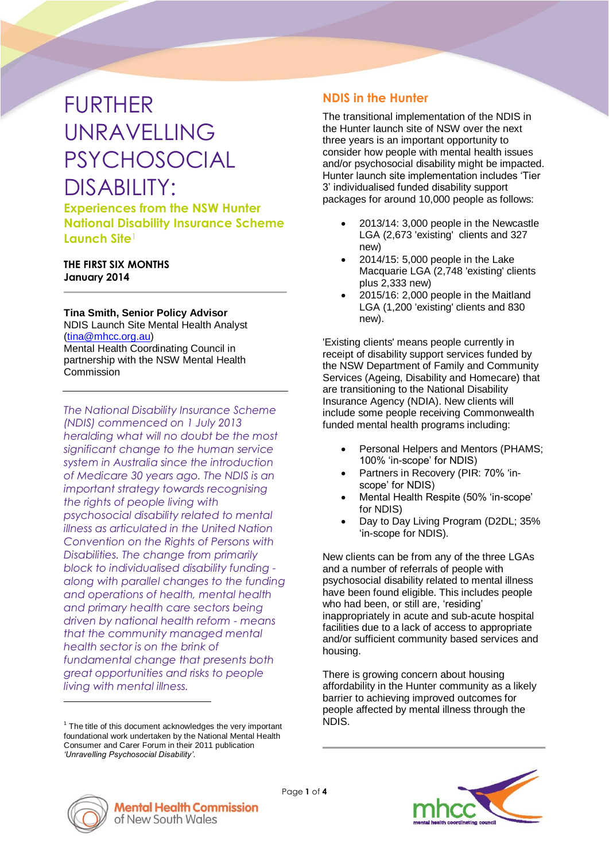# FURTHER UNRAVELLING PSYCHOSOCIAL DISABILITY:

**Experiences from the NSW Hunter National Disability Insurance Scheme Launch Site**<sup>1</sup>

#### **THE FIRST SIX MONTHS January 2014**

**Tina Smith, Senior Policy Advisor**

NDIS Launch Site Mental Health Analyst [\(tina@mhcc.org.au\)](mailto:tina@mhcc.org.au) Mental Health Coordinating Council in partnership with the NSW Mental Health **Commission** 

*The National Disability Insurance Scheme (NDIS) commenced on 1 July 2013 heralding what will no doubt be the most significant change to the human service system in Australia since the introduction of Medicare 30 years ago. The NDIS is an important strategy towards recognising the rights of people living with psychosocial disability related to mental illness as articulated in the United Nation Convention on the Rights of Persons with Disabilities. The change from primarily block to individualised disability funding along with parallel changes to the funding and operations of health, mental health and primary health care sectors being driven by national health reform - means that the community managed mental health sector is on the brink of fundamental change that presents both great opportunities and risks to people living with mental illness.*

### **NDIS in the Hunter**

The transitional implementation of the NDIS in the Hunter launch site of NSW over the next three years is an important opportunity to consider how people with mental health issues and/or psychosocial disability might be impacted. Hunter launch site implementation includes 'Tier 3' individualised funded disability support packages for around 10,000 people as follows:

- 2013/14: 3,000 people in the Newcastle LGA (2,673 'existing' clients and 327 new)
- 2014/15: 5,000 people in the Lake Macquarie LGA (2,748 'existing' clients plus 2,333 new)
- 2015/16: 2,000 people in the Maitland LGA (1,200 'existing' clients and 830 new).

'Existing clients' means people currently in receipt of disability support services funded by the NSW Department of Family and Community Services (Ageing, Disability and Homecare) that are transitioning to the National Disability Insurance Agency (NDIA). New clients will include some people receiving Commonwealth funded mental health programs including:

- Personal Helpers and Mentors (PHAMS; 100% 'in-scope' for NDIS)
- Partners in Recovery (PIR: 70% 'inscope' for NDIS)
- Mental Health Respite (50% 'in-scope' for NDIS)
- Day to Day Living Program (D2DL; 35% 'in-scope for NDIS).

New clients can be from any of the three LGAs and a number of referrals of people with psychosocial disability related to mental illness have been found eligible. This includes people who had been, or still are, 'residing' inappropriately in acute and sub-acute hospital facilities due to a lack of access to appropriate and/or sufficient community based services and housing.

There is growing concern about housing affordability in the Hunter community as a likely barrier to achieving improved outcomes for people affected by mental illness through the NDIS.



 $\overline{a}$ 



 $1$  The title of this document acknowledges the very important foundational work undertaken by the National Mental Health Consumer and Carer Forum in their 2011 publication *'Unravelling Psychosocial Disability'*.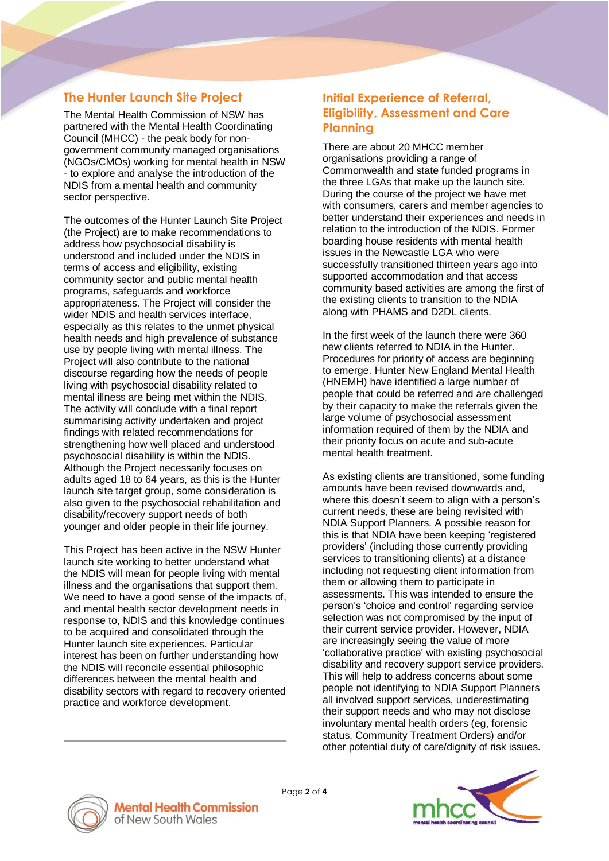# **The Hunter Launch Site Project**

The Mental Health Commission of NSW has partnered with the Mental Health Coordinating Council (MHCC) - the peak body for nongovernment community managed organisations (NGOs/CMOs) working for mental health in NSW - to explore and analyse the introduction of the NDIS from a mental health and community sector perspective.

The outcomes of the Hunter Launch Site Project (the Project) are to make recommendations to address how psychosocial disability is understood and included under the NDIS in terms of access and eligibility, existing community sector and public mental health programs, safeguards and workforce appropriateness. The Project will consider the wider NDIS and health services interface, especially as this relates to the unmet physical health needs and high prevalence of substance use by people living with mental illness. The Project will also contribute to the national discourse regarding how the needs of people living with psychosocial disability related to mental illness are being met within the NDIS. The activity will conclude with a final report summarising activity undertaken and project findings with related recommendations for strengthening how well placed and understood psychosocial disability is within the NDIS. Although the Project necessarily focuses on adults aged 18 to 64 years, as this is the Hunter launch site target group, some consideration is also given to the psychosocial rehabilitation and disability/recovery support needs of both younger and older people in their life journey.

This Project has been active in the NSW Hunter launch site working to better understand what the NDIS will mean for people living with mental illness and the organisations that support them. We need to have a good sense of the impacts of, and mental health sector development needs in response to, NDIS and this knowledge continues to be acquired and consolidated through the Hunter launch site experiences. Particular interest has been on further understanding how the NDIS will reconcile essential philosophic differences between the mental health and disability sectors with regard to recovery oriented practice and workforce development.

#### **Initial Experience of Referral, Eligibility, Assessment and Care Planning**

There are about 20 MHCC member organisations providing a range of Commonwealth and state funded programs in the three LGAs that make up the launch site. During the course of the project we have met with consumers, carers and member agencies to better understand their experiences and needs in relation to the introduction of the NDIS. Former boarding house residents with mental health issues in the Newcastle LGA who were successfully transitioned thirteen years ago into supported accommodation and that access community based activities are among the first of the existing clients to transition to the NDIA along with PHAMS and D2DL clients.

In the first week of the launch there were 360 new clients referred to NDIA in the Hunter. Procedures for priority of access are beginning to emerge. Hunter New England Mental Health (HNEMH) have identified a large number of people that could be referred and are challenged by their capacity to make the referrals given the large volume of psychosocial assessment information required of them by the NDIA and their priority focus on acute and sub-acute mental health treatment.

As existing clients are transitioned, some funding amounts have been revised downwards and, where this doesn't seem to align with a person's current needs, these are being revisited with NDIA Support Planners. A possible reason for this is that NDIA have been keeping 'registered providers' (including those currently providing services to transitioning clients) at a distance including not requesting client information from them or allowing them to participate in assessments. This was intended to ensure the person's 'choice and control' regarding service selection was not compromised by the input of their current service provider. However, NDIA are increasingly seeing the value of more 'collaborative practice' with existing psychosocial disability and recovery support service providers. This will help to address concerns about some people not identifying to NDIA Support Planners all involved support services, underestimating their support needs and who may not disclose involuntary mental health orders (eg, forensic status, Community Treatment Orders) and/or other potential duty of care/dignity of risk issues.



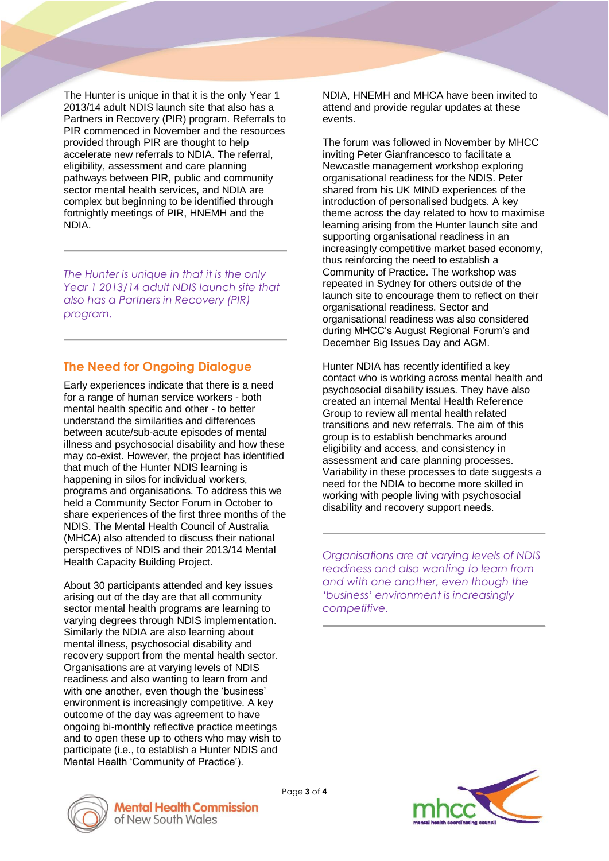The Hunter is unique in that it is the only Year 1 2013/14 adult NDIS launch site that also has a Partners in Recovery (PIR) program. Referrals to PIR commenced in November and the resources provided through PIR are thought to help accelerate new referrals to NDIA. The referral, eligibility, assessment and care planning pathways between PIR, public and community sector mental health services, and NDIA are complex but beginning to be identified through fortnightly meetings of PIR, HNEMH and the NDIA.

*The Hunter is unique in that it is the only Year 1 2013/14 adult NDIS launch site that also has a Partners in Recovery (PIR) program.*

### **The Need for Ongoing Dialogue**

Early experiences indicate that there is a need for a range of human service workers - both mental health specific and other - to better understand the similarities and differences between acute/sub-acute episodes of mental illness and psychosocial disability and how these may co-exist. However, the project has identified that much of the Hunter NDIS learning is happening in silos for individual workers, programs and organisations. To address this we held a Community Sector Forum in October to share experiences of the first three months of the NDIS. The Mental Health Council of Australia (MHCA) also attended to discuss their national perspectives of NDIS and their 2013/14 Mental Health Capacity Building Project.

About 30 participants attended and key issues arising out of the day are that all community sector mental health programs are learning to varying degrees through NDIS implementation. Similarly the NDIA are also learning about mental illness, psychosocial disability and recovery support from the mental health sector. Organisations are at varying levels of NDIS readiness and also wanting to learn from and with one another, even though the 'business' environment is increasingly competitive. A key outcome of the day was agreement to have ongoing bi-monthly reflective practice meetings and to open these up to others who may wish to participate (i.e., to establish a Hunter NDIS and Mental Health 'Community of Practice').

NDIA, HNEMH and MHCA have been invited to attend and provide regular updates at these events.

The forum was followed in November by MHCC inviting Peter Gianfrancesco to facilitate a Newcastle management workshop exploring organisational readiness for the NDIS. Peter shared from his UK MIND experiences of the introduction of personalised budgets. A key theme across the day related to how to maximise learning arising from the Hunter launch site and supporting organisational readiness in an increasingly competitive market based economy, thus reinforcing the need to establish a Community of Practice. The workshop was repeated in Sydney for others outside of the launch site to encourage them to reflect on their organisational readiness. Sector and organisational readiness was also considered during MHCC's August Regional Forum's and December Big Issues Day and AGM.

Hunter NDIA has recently identified a key contact who is working across mental health and psychosocial disability issues. They have also created an internal Mental Health Reference Group to review all mental health related transitions and new referrals. The aim of this group is to establish benchmarks around eligibility and access, and consistency in assessment and care planning processes. Variability in these processes to date suggests a need for the NDIA to become more skilled in working with people living with psychosocial disability and recovery support needs.

*Organisations are at varying levels of NDIS readiness and also wanting to learn from and with one another, even though the 'business' environment is increasingly competitive.*